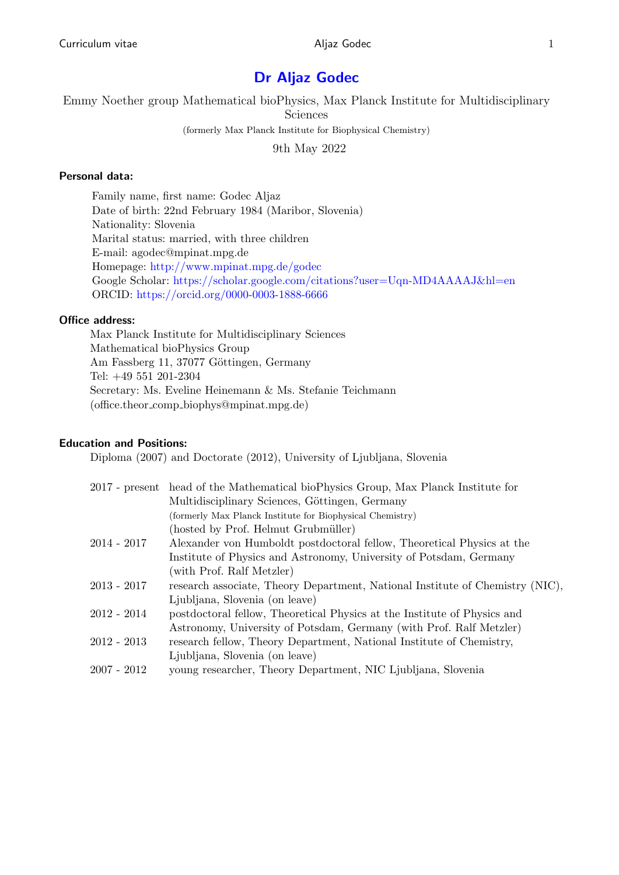# Dr Aljaz Godec

Emmy Noether group Mathematical bioPhysics, Max Planck Institute for Multidisciplinary Sciences (formerly Max Planck Institute for Biophysical Chemistry)

9th May 2022

# Personal data:

Family name, first name: Godec Aljaz Date of birth: 22nd February 1984 (Maribor, Slovenia) Nationality: Slovenia Marital status: married, with three children E-mail: agodec@mpinat.mpg.de Homepage: [http://www.mpinat.mpg.de/godec](https://www.mpinat.mpg.de/godec) Google Scholar: [https://scholar.google.com/citations?user=Uqn-MD4AAAAJ&hl=en](https://scholar.google.com/citations?hl=en&user=Uqn-MD4AAAAJ&view_op=list_works&sortby=pubdate) ORCID: <https://orcid.org/0000-0003-1888-6666>

# Office address:

Max Planck Institute for Multidisciplinary Sciences Mathematical bioPhysics Group Am Fassberg 11, 37077 Göttingen, Germany Tel: +49 551 201-2304 Secretary: Ms. Eveline Heinemann & Ms. Stefanie Teichmann (office.theor comp biophys@mpinat.mpg.de)

# Education and Positions:

Diploma (2007) and Doctorate (2012), University of Ljubljana, Slovenia

|               | 2017 - present head of the Mathematical bioPhysics Group, Max Planck Institute for |
|---------------|------------------------------------------------------------------------------------|
|               | Multidisciplinary Sciences, Göttingen, Germany                                     |
|               | (formerly Max Planck Institute for Biophysical Chemistry)                          |
|               | (hosted by Prof. Helmut Grubmüller)                                                |
| $2014 - 2017$ | Alexander von Humboldt postdoctoral fellow, Theoretical Physics at the             |
|               | Institute of Physics and Astronomy, University of Potsdam, Germany                 |
|               | (with Prof. Ralf Metzler)                                                          |
| 2013 - 2017   | research associate, Theory Department, National Institute of Chemistry (NIC).      |
|               | Ljubljana, Slovenia (on leave)                                                     |
| $2012 - 2014$ | postdoctoral fellow, Theoretical Physics at the Institute of Physics and           |
|               | Astronomy, University of Potsdam, Germany (with Prof. Ralf Metzler)                |
| $2012 - 2013$ | research fellow, Theory Department, National Institute of Chemistry,               |
|               | Ljubljana, Slovenia (on leave)                                                     |
| 2007 - 2012   | young researcher, Theory Department, NIC Ljubljana, Slovenia                       |
|               |                                                                                    |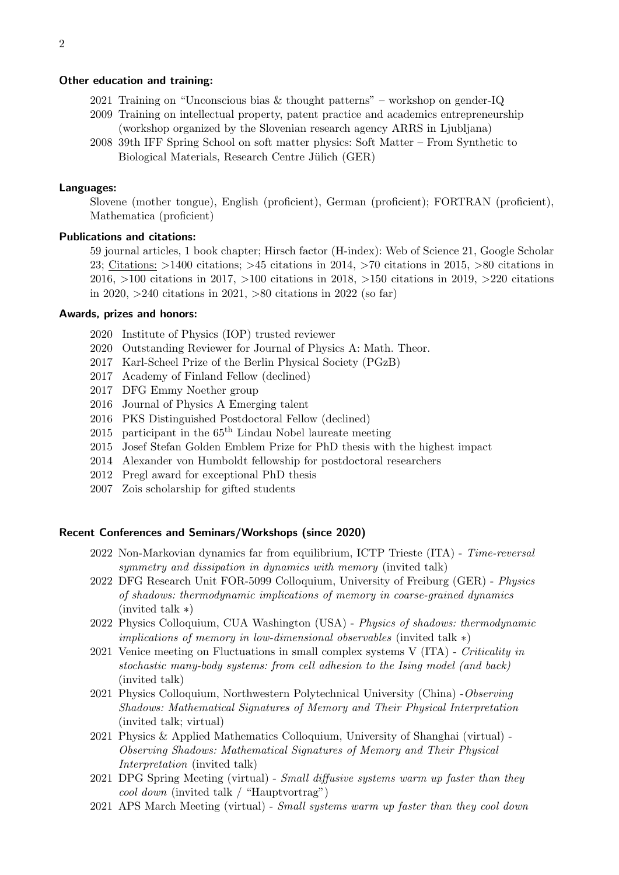#### Other education and training:

- 2021 Training on "Unconscious bias  $&$  thought patterns" workshop on gender-IQ
- 2009 Training on intellectual property, patent practice and academics entrepreneurship (workshop organized by the Slovenian research agency ARRS in Ljubljana)
- 2008 39th IFF Spring School on soft matter physics: Soft Matter From Synthetic to Biological Materials, Research Centre Jülich (GER)

#### Languages:

Slovene (mother tongue), English (proficient), German (proficient); FORTRAN (proficient), Mathematica (proficient)

### Publications and citations:

59 journal articles, 1 book chapter; Hirsch factor (H-index): Web of Science 21, Google Scholar 23; Citations: >1400 citations; >45 citations in 2014, >70 citations in 2015, >80 citations in 2016, >100 citations in 2017, >100 citations in 2018, >150 citations in 2019, >220 citations in 2020, >240 citations in 2021, >80 citations in 2022 (so far)

### Awards, prizes and honors:

- 2020 Institute of Physics (IOP) trusted reviewer
- 2020 Outstanding Reviewer for Journal of Physics A: Math. Theor.
- 2017 Karl-Scheel Prize of the Berlin Physical Society (PGzB)
- 2017 Academy of Finland Fellow (declined)
- 2017 DFG Emmy Noether group
- 2016 Journal of Physics A Emerging talent
- 2016 PKS Distinguished Postdoctoral Fellow (declined)
- 2015 participant in the  $65<sup>th</sup>$  Lindau Nobel laureate meeting
- 2015 Josef Stefan Golden Emblem Prize for PhD thesis with the highest impact
- 2014 Alexander von Humboldt fellowship for postdoctoral researchers
- 2012 Pregl award for exceptional PhD thesis
- 2007 Zois scholarship for gifted students

### Recent Conferences and Seminars/Workshops (since 2020)

- 2022 Non-Markovian dynamics far from equilibrium, ICTP Trieste (ITA) Time-reversal symmetry and dissipation in dynamics with memory (invited talk)
- 2022 DFG Research Unit FOR-5099 Colloquium, University of Freiburg (GER) Physics of shadows: thermodynamic implications of memory in coarse-grained dynamics (invited talk ∗)
- 2022 Physics Colloquium, CUA Washington (USA) Physics of shadows: thermodynamic implications of memory in low-dimensional observables (invited talk ∗)
- 2021 Venice meeting on Fluctuations in small complex systems V (ITA) Criticality in stochastic many-body systems: from cell adhesion to the Ising model (and back) (invited talk)
- 2021 Physics Colloquium, Northwestern Polytechnical University (China) -Observing Shadows: Mathematical Signatures of Memory and Their Physical Interpretation (invited talk; virtual)
- 2021 Physics & Applied Mathematics Colloquium, University of Shanghai (virtual) Observing Shadows: Mathematical Signatures of Memory and Their Physical Interpretation (invited talk)
- 2021 DPG Spring Meeting (virtual) Small diffusive systems warm up faster than they cool down (invited talk / "Hauptvortrag")
- 2021 APS March Meeting (virtual) Small systems warm up faster than they cool down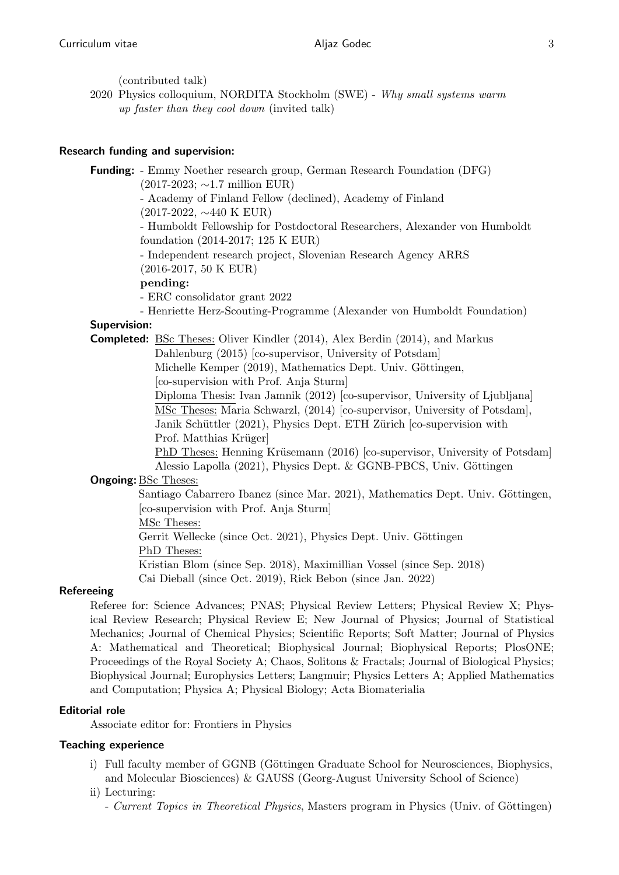(contributed talk)

2020 Physics colloquium, NORDITA Stockholm (SWE) - Why small systems warm up faster than they cool down (invited talk)

### Research funding and supervision:

Funding: - Emmy Noether research group, German Research Foundation (DFG)

(2017-2023; ∼1.7 million EUR)

- Academy of Finland Fellow (declined), Academy of Finland

(2017-2022, ∼440 K EUR)

- Humboldt Fellowship for Postdoctoral Researchers, Alexander von Humboldt foundation (2014-2017; 125 K EUR)

- Independent research project, Slovenian Research Agency ARRS (2016-2017, 50 K EUR)

### pending:

- ERC consolidator grant 2022

- Henriette Herz-Scouting-Programme (Alexander von Humboldt Foundation)

# Supervision:

Completed: BSc Theses: Oliver Kindler (2014), Alex Berdin (2014), and Markus

Dahlenburg (2015) [co-supervisor, University of Potsdam]

Michelle Kemper (2019), Mathematics Dept. Univ. Göttingen,

[co-supervision with Prof. Anja Sturm]

Diploma Thesis: Ivan Jamnik (2012) [co-supervisor, University of Ljubljana] MSc Theses: Maria Schwarzl, (2014) [co-supervisor, University of Potsdam], Janik Schüttler (2021), Physics Dept. ETH Zürich [co-supervision with Prof. Matthias Krüger

PhD Theses: Henning Krüsemann (2016) [co-supervisor, University of Potsdam] Alessio Lapolla (2021), Physics Dept. & GGNB-PBCS, Univ. Göttingen

## Ongoing: BSc Theses:

Santiago Cabarrero Ibanez (since Mar. 2021), Mathematics Dept. Univ. Göttingen, [co-supervision with Prof. Anja Sturm]

MSc Theses:

Gerrit Wellecke (since Oct. 2021), Physics Dept. Univ. Göttingen PhD Theses:

Kristian Blom (since Sep. 2018), Maximillian Vossel (since Sep. 2018) Cai Dieball (since Oct. 2019), Rick Bebon (since Jan. 2022)

## Refereeing

Referee for: Science Advances; PNAS; Physical Review Letters; Physical Review X; Physical Review Research; Physical Review E; New Journal of Physics; Journal of Statistical Mechanics; Journal of Chemical Physics; Scientific Reports; Soft Matter; Journal of Physics A: Mathematical and Theoretical; Biophysical Journal; Biophysical Reports; PlosONE; Proceedings of the Royal Society A; Chaos, Solitons & Fractals; Journal of Biological Physics; Biophysical Journal; Europhysics Letters; Langmuir; Physics Letters A; Applied Mathematics and Computation; Physica A; Physical Biology; Acta Biomaterialia

# Editorial role

Associate editor for: Frontiers in Physics

## Teaching experience

i) Full faculty member of GGNB (Göttingen Graduate School for Neurosciences, Biophysics, and Molecular Biosciences) & GAUSS (Georg-August University School of Science)

## ii) Lecturing:

- Current Topics in Theoretical Physics, Masters program in Physics (Univ. of Göttingen)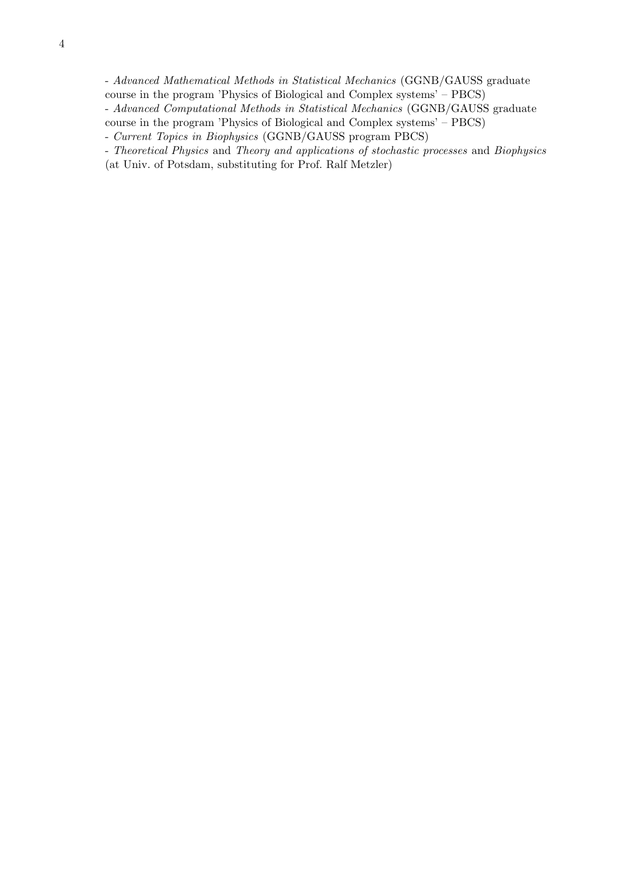- Advanced Mathematical Methods in Statistical Mechanics (GGNB/GAUSS graduate course in the program 'Physics of Biological and Complex systems' – PBCS)

- Advanced Computational Methods in Statistical Mechanics (GGNB/GAUSS graduate

course in the program 'Physics of Biological and Complex systems' – PBCS)

<sup>-</sup> Current Topics in Biophysics (GGNB/GAUSS program PBCS)

<sup>-</sup> Theoretical Physics and Theory and applications of stochastic processes and Biophysics (at Univ. of Potsdam, substituting for Prof. Ralf Metzler)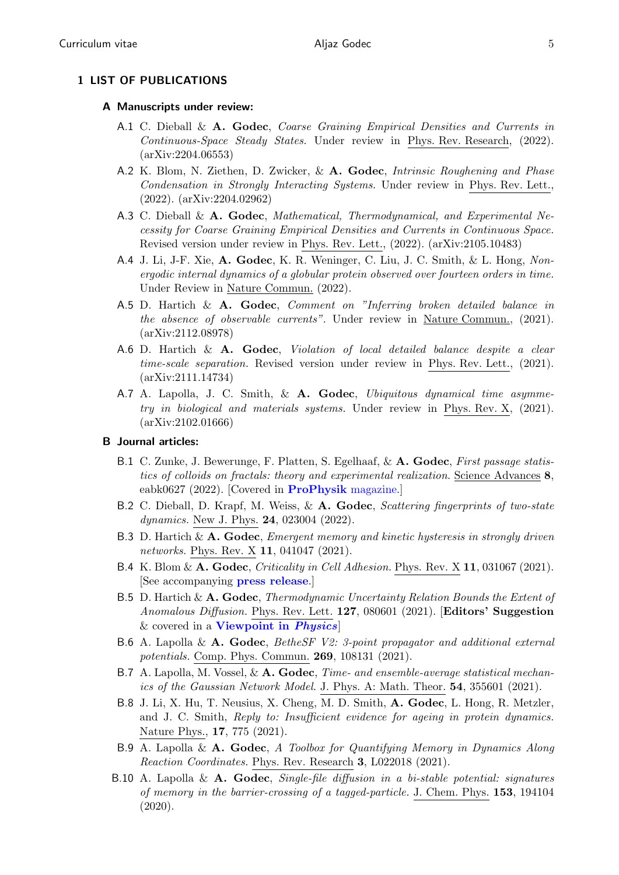### 1 LIST OF PUBLICATIONS

### A Manuscripts under review:

- A.1 C. Dieball & A. Godec, Coarse Graining Empirical Densities and Currents in Continuous-Space Steady States. Under review in Phys. Rev. Research, (2022). (arXiv:2204.06553)
- A.2 K. Blom, N. Ziethen, D. Zwicker, & A. Godec, Intrinsic Roughening and Phase Condensation in Strongly Interacting Systems. Under review in Phys. Rev. Lett., (2022). (arXiv:2204.02962)
- A.3 C. Dieball & A. Godec, Mathematical, Thermodynamical, and Experimental Necessity for Coarse Graining Empirical Densities and Currents in Continuous Space. Revised version under review in Phys. Rev. Lett., (2022). (arXiv:2105.10483)
- A.4 J. Li, J-F. Xie, A. Godec, K. R. Weninger, C. Liu, J. C. Smith, & L. Hong, Nonergodic internal dynamics of a globular protein observed over fourteen orders in time. Under Review in Nature Commun. (2022).
- A.5 D. Hartich & A. Godec, Comment on "Inferring broken detailed balance in the absence of observable currents". Under review in Nature Commun., (2021). (arXiv:2112.08978)
- A.6 D. Hartich &  $\bf{A}$ . Godec, *Violation of local detailed balance despite a clear* time-scale separation. Revised version under review in Phys. Rev. Lett., (2021). (arXiv:2111.14734)
- A.7 A. Lapolla, J. C. Smith, & A. Godec, Ubiquitous dynamical time asymmetry in biological and materials systems. Under review in Phys. Rev. X, (2021). (arXiv:2102.01666)

### B Journal articles:

- B.1 C. Zunke, J. Bewerunge, F. Platten, S. Egelhaaf, & A. Godec, First passage statistics of colloids on fractals: theory and experimental realization. Science Advances 8, eabk0627 (2022). [Covered in [ProPhysik](https://www.pro-physik.de/nachrichten/bewegung-im-fraktal) magazine.]
- B.2 C. Dieball, D. Krapf, M. Weiss, & A. Godec, Scattering fingerprints of two-state dynamics. New J. Phys. **24**, 023004 (2022).
- B.3 D. Hartich  $\&\mathbf{A.}\mathbf{Godec}, \textit{Energy memory}$  and kinetic hysteresis in strongly driven networks. Phys. Rev. X 11, 041047 (2021).
- B.4 K. Blom &  $\mathbf{A}$ . Godec, Criticality in Cell Adhesion. Phys. Rev. X 11, 031067 (2021). [See accompanying [press release](https://www.mpinat.mpg.de/3896031/pr_2123?c=639551).]
- B.5 D. Hartich & A. Godec, Thermodynamic Uncertainty Relation Bounds the Extent of Anomalous Diffusion. Phys. Rev. Lett. 127, 080601 (2021). [Editors' Suggestion  $&$  covered in a **[Viewpoint in](https://physics.aps.org/articles/v14/116) Physics**
- B.6 A. Lapolla & A. Godec, Bethest V2: 3-point propagator and additional external potentials. Comp. Phys. Commun. 269, 108131 (2021).
- B.7 A. Lapolla, M. Vossel, & A. Godec, *Time- and ensemble-average statistical mechan*ics of the Gaussian Network Model. J. Phys. A: Math. Theor. 54, 355601 (2021).
- B.8 J. Li, X. Hu, T. Neusius, X. Cheng, M. D. Smith, A. Godec, L. Hong, R. Metzler, and J. C. Smith, Reply to: Insufficient evidence for ageing in protein dynamics. Nature Phys., 17, 775 (2021).
- B.9 A. Lapolla & A. Godec, A Toolbox for Quantifying Memory in Dynamics Along Reaction Coordinates. Phys. Rev. Research 3, L022018 (2021).
- B.10 A. Lapolla & A. Godec, Single-file diffusion in a bi-stable potential: signatures of memory in the barrier-crossing of a tagged-particle. J. Chem. Phys. 153, 194104 (2020).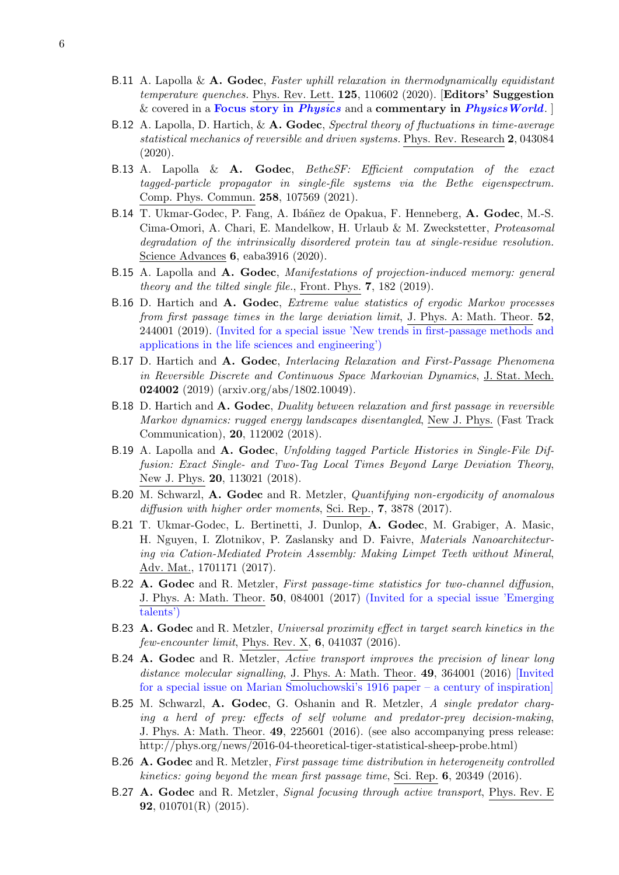- B.11 A. Lapolla & A. Godec, Faster uphill relaxation in thermodynamically equidistant temperature quenches. Phys. Rev. Lett. 125, 110602 (2020). [Editors' Suggestion & covered in a [Focus story in](https://physics.aps.org/articles/v13/144) *Physics* and a commentary in *[PhysicsWorld](https://physicsworld.com/a/nanoparticles-warm-up-faster-than-they-cool-down/).*
- B.12 A. Lapolla, D. Hartich,  $\&\mathbf{A. Godec}$ , Spectral theory of fluctuations in time-average statistical mechanics of reversible and driven systems. Phys. Rev. Research 2, 043084 (2020).
- B.13 A. Lapolla &  $\bf{A.}$  Godec, BetheSF: Efficient computation of the exact tagged-particle propagator in single-file systems via the Bethe eigenspectrum. Comp. Phys. Commun. 258, 107569 (2021).
- B.14 T. Ukmar-Godec, P. Fang, A. Ibáñez de Opakua, F. Henneberg, A. Godec, M.-S. Cima-Omori, A. Chari, E. Mandelkow, H. Urlaub & M. Zweckstetter, Proteasomal degradation of the intrinsically disordered protein tau at single-residue resolution. Science Advances 6, eaba3916 (2020).
- B.15 A. Lapolla and A. Godec, Manifestations of projection-induced memory: general theory and the tilted single file., Front. Phys. 7, 182 (2019).
- B.16 D. Hartich and A. Godec, Extreme value statistics of ergodic Markov processes from first passage times in the large deviation limit, J. Phys. A: Math. Theor. 52, 244001 (2019). (Invited for a special issue 'New trends in first-passage methods and applications in the life sciences and engineering')
- B.17 D. Hartich and A. Godec, Interlacing Relaxation and First-Passage Phenomena in Reversible Discrete and Continuous Space Markovian Dynamics, J. Stat. Mech. 024002 (2019) (arxiv.org/abs/1802.10049).
- B.18 D. Hartich and A. Godec, Duality between relaxation and first passage in reversible Markov dynamics: rugged energy landscapes disentangled, New J. Phys. (Fast Track Communication), 20, 112002 (2018).
- B.19 A. Lapolla and A. Godec, Unfolding tagged Particle Histories in Single-File Diffusion: Exact Single- and Two-Tag Local Times Beyond Large Deviation Theory, New J. Phys. 20, 113021 (2018).
- B.20 M. Schwarzl, A. Godec and R. Metzler, Quantifying non-ergodicity of anomalous diffusion with higher order moments, Sci. Rep., 7, 3878 (2017).
- B.21 T. Ukmar-Godec, L. Bertinetti, J. Dunlop, A. Godec, M. Grabiger, A. Masic, H. Nguyen, I. Zlotnikov, P. Zaslansky and D. Faivre, Materials Nanoarchitecturing via Cation-Mediated Protein Assembly: Making Limpet Teeth without Mineral, Adv. Mat., 1701171 (2017).
- B.22 A. Godec and R. Metzler, First passage-time statistics for two-channel diffusion, J. Phys. A: Math. Theor. 50, 084001 (2017) (Invited for a special issue 'Emerging talents')
- B.23 A. Godec and R. Metzler, Universal proximity effect in target search kinetics in the  $few\text{-}encounter limit$ , Phys. Rev. X, 6, 041037 (2016).
- B.24 A. Godec and R. Metzler, Active transport improves the precision of linear long distance molecular signalling, J. Phys. A: Math. Theor. 49, 364001 (2016) [Invited for a special issue on Marian Smoluchowski's 1916 paper – a century of inspiration]
- B.25 M. Schwarzl, A. Godec, G. Oshanin and R. Metzler, A single predator charging a herd of prey: effects of self volume and predator-prey decision-making, J. Phys. A: Math. Theor. 49, 225601 (2016). (see also accompanying press release: http://phys.org/news/2016-04-theoretical-tiger-statistical-sheep-probe.html)
- B.26 A. Godec and R. Metzler, First passage time distribution in heterogeneity controlled kinetics: going beyond the mean first passage time, Sci. Rep. 6, 20349 (2016).
- B.27 A. Godec and R. Metzler, Signal focusing through active transport, Phys. Rev. E **92**,  $010701(R)$  (2015).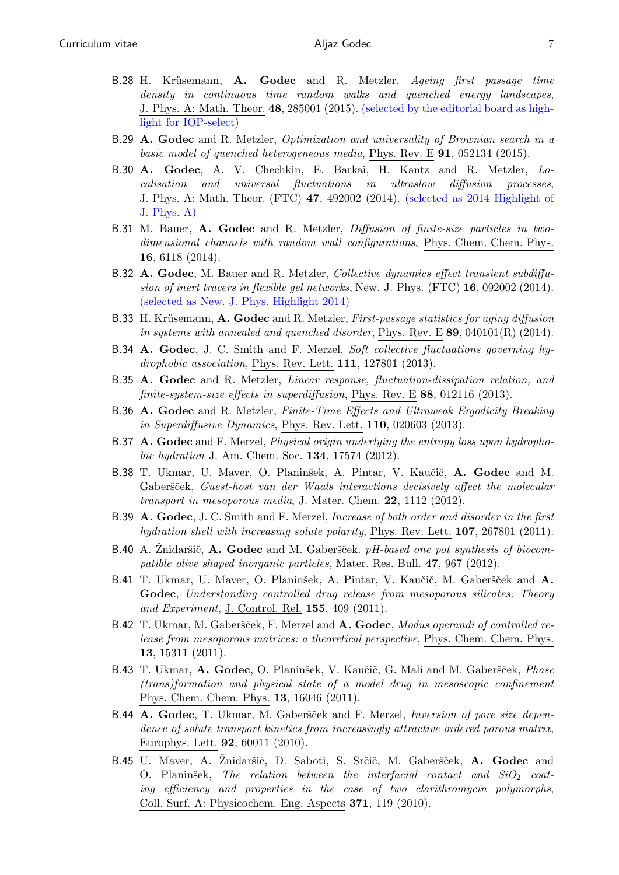- B.28 H. Krüsemann, A. Godec and R. Metzler, Ageing first passage time density in continuous time random walks and quenched energy landscapes, J. Phys. A: Math. Theor. 48, 285001 (2015). (selected by the editorial board as highlight for IOP-select)
- B.29 A. Godec and R. Metzler, Optimization and universality of Brownian search in a basic model of quenched heterogeneous media, Phys. Rev. E  $91, 052134$  (2015).
- B.30 A. Godec, A. V. Chechkin, E. Barkai, H. Kantz and R. Metzler, Localisation and universal fluctuations in ultraslow diffusion processes, J. Phys. A: Math. Theor. (FTC) 47, 492002 (2014). (selected as 2014 Highlight of J. Phys. A)
- B.31 M. Bauer, A. Godec and R. Metzler, *Diffusion of finite-size particles in two*dimensional channels with random wall configurations, Phys. Chem. Chem. Phys. 16, 6118 (2014).
- B.32 A. Godec, M. Bauer and R. Metzler, Collective dynamics effect transient subdiffusion of inert tracers in flexible gel networks, New. J. Phys. (FTC) 16, 092002 (2014). (selected as New. J. Phys. Highlight 2014)
- B.33 H. Krüsemann, A. Godec and R. Metzler, First-passage statistics for aging diffusion in systems with annealed and quenched disorder, Phys. Rev. E  $89,040101(R)$  (2014).
- B.34 A. Godec, J. C. Smith and F. Merzel, Soft collective fluctuations governing hydrophobic association, Phys. Rev. Lett. 111, 127801 (2013).
- B.35 A. Godec and R. Metzler, Linear response, fluctuation-dissipation relation, and finite-system-size effects in superdiffusion, Phys. Rev. E 88, 012116 (2013).
- B.36 A. Godec and R. Metzler, Finite-Time Effects and Ultraweak Ergodicity Breaking in Superdiffusive Dynamics, Phys. Rev. Lett. 110, 020603 (2013).
- B.37 A. Godec and F. Merzel, Physical origin underlying the entropy loss upon hydrophobic hydration J. Am. Chem. Soc. **134**, 17574 (2012).
- B.38 T. Ukmar, U. Maver, O. Planinšek, A. Pintar, V. Kaučič, A. Godec and M. Gaberšček, Guest-host van der Waals interactions decisively affect the molecular transport in mesoporous media, J. Mater. Chem. 22, 1112 (2012).
- B.39 A. Godec, J. C. Smith and F. Merzel, Increase of both order and disorder in the first hydration shell with increasing solute polarity, Phys. Rev. Lett. **107**, 267801 (2011).
- B.40 A. Znidaršič,  $\bf{A.}$  Godec and M. Gaberšček. pH-based one pot synthesis of biocompatible olive shaped inorganic particles, Mater. Res. Bull. 47, 967 (2012).
- B.41 T. Ukmar, U. Maver, O. Planinšek, A. Pintar, V. Kaučič, M. Gaberšček and A. Godec, Understanding controlled drug release from mesoporous silicates: Theory and Experiment, J. Control. Rel. 155, 409 (2011).
- B.42 T. Ukmar, M. Gaberšček, F. Merzel and A. Godec, Modus operandi of controlled release from mesoporous matrices: a theoretical perspective, Phys. Chem. Chem. Phys. 13, 15311 (2011).
- B.43 T. Ukmar, A. Godec, O. Planinšek, V. Kaučič, G. Mali and M. Gaberšček, Phase (trans)formation and physical state of a model drug in mesoscopic confinement Phys. Chem. Chem. Phys. 13, 16046 (2011).
- B.44 A. Godec, T. Ukmar, M. Gaberšček and F. Merzel, Inversion of pore size dependence of solute transport kinetics from increasingly attractive ordered porous matrix, Europhys. Lett. 92, 60011 (2010).
- B.45 U. Maver, A. Znidaršič, D. Saboti, S. Srčič, M. Gaberšček, A. Godec and O. Planinšek, The relation between the interfacial contact and  $SiO<sub>2</sub>$  coating efficiency and properties in the case of two clarithromycin polymorphs, Coll. Surf. A: Physicochem. Eng. Aspects 371, 119 (2010).